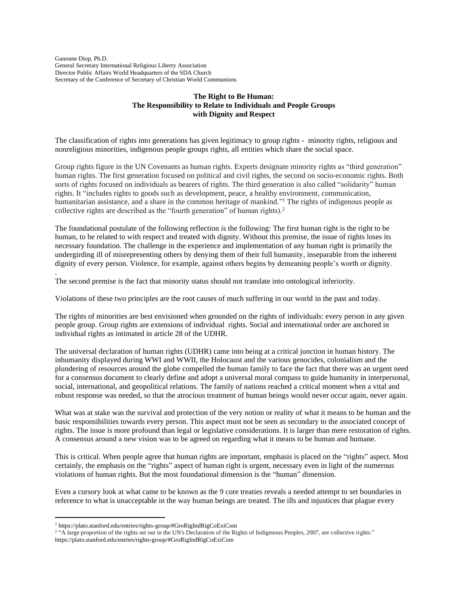Ganoune Diop, Ph.D. General Secretary International Religious Liberty Association Director Public Affairs World Headquarters of the SDA Church Secretary of the Conference of Secretary of Christian World Communions

.

# **The Right to Be Human: The Responsibility to Relate to Individuals and People Groups with Dignity and Respect**

The classification of rights into generations has given legitimacy to group rights - minority rights, religious and nonreligious minorities, indigenous people groups rights, all entities which share the social space.

Group rights figure in the UN Covenants as human rights. Experts designate minority rights as "third generation" human rights. The first generation focused on political and civil rights, the second on socio-economic rights. Both sorts of rights focused on individuals as bearers of rights. The third generation is also called "solidarity" human rights. It "includes rights to goods such as development, peace, a healthy environment, communication, humanitarian assistance, and a share in the common heritage of mankind."<sup>1</sup> The rights of indigenous people as collective rights are described as the "fourth generation" of human rights).<sup>2</sup>

The foundational postulate of the following reflection is the following: The first human right is the right to be human, to be related to with respect and treated with dignity. Without this premise, the issue of rights loses its necessary foundation. The challenge in the experience and implementation of any human right is primarily the undergirding ill of misrepresenting others by denying them of their full humanity, inseparable from the inherent dignity of every person. Violence, for example, against others begins by demeaning people's worth or dignity.

The second premise is the fact that minority status should not translate into ontological inferiority.

Violations of these two principles are the root causes of much suffering in our world in the past and today.

The rights of minorities are best envisioned when grounded on the rights of individuals: every person in any given people group. Group rights are extensions of individual rights. Social and international order are anchored in individual rights as intimated in article 28 of the UDHR.

The universal declaration of human rights (UDHR) came into being at a critical junction in human history. The inhumanity displayed during WWI and WWII, the Holocaust and the various genocides, colonialism and the plundering of resources around the globe compelled the human family to face the fact that there was an urgent need for a consensus document to clearly define and adopt a universal moral compass to guide humanity in interpersonal, social, international, and geopolitical relations. The family of nations reached a critical moment when a vital and robust response was needed, so that the atrocious treatment of human beings would never occur again, never again.

What was at stake was the survival and protection of the very notion or reality of what it means to be human and the basic responsibilities towards every person. This aspect must not be seen as secondary to the associated concept of rights. The issue is more profound than legal or legislative considerations. It is larger than mere restoration of rights. A consensus around a new vision was to be agreed on regarding what it means to be human and humane.

This is critical. When people agree that human rights are important, emphasis is placed on the "rights" aspect. Most certainly, the emphasis on the "rights" aspect of human right is urgent, necessary even in light of the numerous violations of human rights. But the most foundational dimension is the "human" dimension.

Even a cursory look at what came to be known as the 9 core treaties reveals a needed attempt to set boundaries in reference to what is unacceptable in the way human beings are treated. The ills and injustices that plague every

<sup>1</sup> https://plato.stanford.edu/entries/rights-group/#GroRigIndRigCoExiCom

<sup>&</sup>lt;sup>2</sup> "A large proportion of the rights set out in the UN's Declaration of the Rights of Indigenous Peoples, 2007, are collective rights."

https://plato.stanford.edu/entries/rights-group/#GroRigIndRigCoExiCom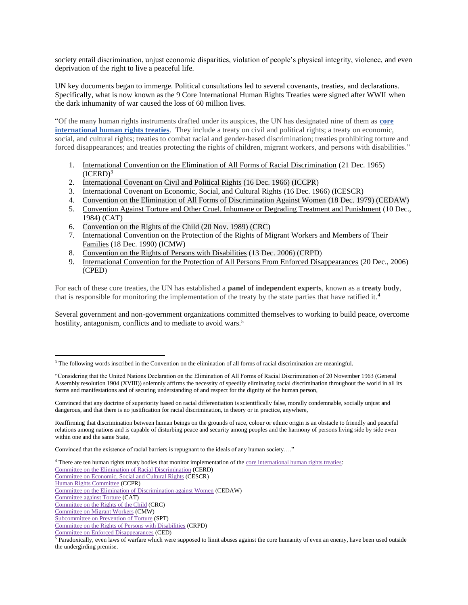society entail discrimination, unjust economic disparities, violation of people's physical integrity, violence, and even deprivation of the right to live a peaceful life.

UN key documents began to immerge. Political consultations led to several covenants, treaties, and declarations. Specifically, what is now known as the 9 Core International Human Rights Treaties were signed after WWII when the dark inhumanity of war caused the loss of 60 million lives.

"Of the many human rights instruments drafted under its auspices, the UN has designated nine of them as **[core](https://wrlc-gulaw.primo.exlibrisgroup.com/discovery/fulldisplay?docid=alma991010748799704113&context=L&vid=01WRLC_GUNIVLAW:01WRLC_GUNIVLAW&search_scope=MyInst_and_CI&isFrbr=true&tab=Everything&lang=en)  [international human rights treaties](https://wrlc-gulaw.primo.exlibrisgroup.com/discovery/fulldisplay?docid=alma991010748799704113&context=L&vid=01WRLC_GUNIVLAW:01WRLC_GUNIVLAW&search_scope=MyInst_and_CI&isFrbr=true&tab=Everything&lang=en)**. They include a treaty on civil and political rights; a treaty on economic, social, and cultural rights; treaties to combat racial and gender-based discrimination; treaties prohibiting torture and forced disappearances; and treaties protecting the rights of children, migrant workers, and persons with disabilities."

- 1. [International Convention on the Elimination of All Forms of Racial Discrimination](https://www.ohchr.org/EN/ProfessionalInterest/Pages/CERD.aspx) (21 Dec. 1965)  $(ICERD)<sup>3</sup>$
- 2. [International Covenant on Civil and Political Rights](https://www.ohchr.org/EN/ProfessionalInterest/Pages/CCPR.aspx) (16 Dec. 1966) (ICCPR)
- 3. [International Covenant on Economic, Social, and Cultural Rights](https://www.ohchr.org/EN/ProfessionalInterest/Pages/CESCR.aspx) (16 Dec. 1966) (ICESCR)
- 4. [Convention on the Elimination of All Forms of Discrimination Against Women](https://www.ohchr.org/EN/ProfessionalInterest/Pages/CEDAW.aspx) (18 Dec. 1979) (CEDAW)
- 5. [Convention Against Torture and Other Cruel, Inhumane or Degrading Treatment and Punishment](https://www.ohchr.org/EN/ProfessionalInterest/Pages/CAT.aspx) (10 Dec., 1984) (CAT)
- 6. [Convention on the Rights of the Child](https://www.ohchr.org/EN/ProfessionalInterest/Pages/CRC.aspx) (20 Nov. 1989) (CRC)
- 7. [International Convention on the Protection of the Rights of Migrant Workers and Members of Their](https://www.ohchr.org/EN/ProfessionalInterest/Pages/CMW.aspx)  [Families](https://www.ohchr.org/EN/ProfessionalInterest/Pages/CMW.aspx) (18 Dec. 1990) (ICMW)
- 8. [Convention on the Rights of Persons with Disabilities](https://www.ohchr.org/EN/HRBodies/CRPD/Pages/ConventionRightsPersonsWithDisabilities.aspx) (13 Dec. 2006) (CRPD)
- 9. [International Convention for the Protection of All Persons From Enforced Disappearances](https://www.ohchr.org/EN/HRBodies/CED/Pages/ConventionCED.aspx) (20 Dec., 2006) (CPED)

For each of these core treaties, the UN has established a **panel of independent experts**, known as a **treaty body**, that is responsible for monitoring the implementation of the treaty by the state parties that have ratified it.<sup>4</sup>

Several government and non-government organizations committed themselves to working to build peace, overcome hostility, antagonism, conflicts and to mediate to avoid wars.<sup>5</sup>

Convinced that the existence of racial barriers is repugnant to the ideals of any human society…."

- <sup>4</sup> There are ten human rights treaty bodies that monitor implementation of the [core international human rights treaties:](https://www.ohchr.org/EN/ProfessionalInterest/Pages/InternationalLaw.aspx)
- [Committee on the Elimination of Racial Discrimination](https://www.ohchr.org/EN/HRBodies/CERD/Pages/CERDIndex.aspx) (CERD)

[Committee on Economic, Social and Cultural Rights](https://www.ohchr.org/EN/HRBodies/CESCR/pages/cescrindex.aspx) (CESCR)

[Human Rights Committee](https://www.ohchr.org/EN/HRBodies/CCPR/Pages/CCPRIndex.aspx) (CCPR)

[Committee on the Elimination of Discrimination against Women](https://www.ohchr.org/EN/HRBodies/CEDAW/pages/cedawindex.aspx) (CEDAW)

[Committee against Torture](https://www.ohchr.org/EN/HRBodies/CAT/pages/catindex.aspx) (CAT) [Committee on the Rights of the Child](https://www.ohchr.org/EN/HRBodies/CRC/Pages/CRCIndex.aspx) (CRC)

[Subcommittee on Prevention of Torture](https://www.ohchr.org/EN/HRBodies/OPCAT/Pages/OPCATIndex.aspx) (SPT)

[Committee on the Rights of Persons with Disabilities](https://www.ohchr.org/EN/HRBodies/CRPD/Pages/CRPDIndex.aspx) (CRPD)

 $3$  The following words inscribed in the Convention on the elimination of all forms of racial discrimination are meaningful.

<sup>&</sup>quot;Considering that the United Nations Declaration on the Elimination of All Forms of Racial Discrimination of 20 November 1963 (General Assembly resolution 1904 (XVIII)) solemnly affirms the necessity of speedily eliminating racial discrimination throughout the world in all its forms and manifestations and of securing understanding of and respect for the dignity of the human person,

Convinced that any doctrine of superiority based on racial differentiation is scientifically false, morally condemnable, socially unjust and dangerous, and that there is no justification for racial discrimination, in theory or in practice, anywhere,

Reaffirming that discrimination between human beings on the grounds of race, colour or ethnic origin is an obstacle to friendly and peaceful relations among nations and is capable of disturbing peace and security among peoples and the harmony of persons living side by side even within one and the same State,

[Committee on Migrant Workers](https://www.ohchr.org/EN/HRBodies/CMW/Pages/CMWIndex.aspx) (CMW)

[Committee on Enforced Disappearances](https://www.ohchr.org/EN/HRBodies/CED/Pages/CEDIndex.aspx) (CED)

<sup>&</sup>lt;sup>5</sup> Paradoxically, even laws of warfare which were supposed to limit abuses against the core humanity of even an enemy, have been used outside the undergirding premise.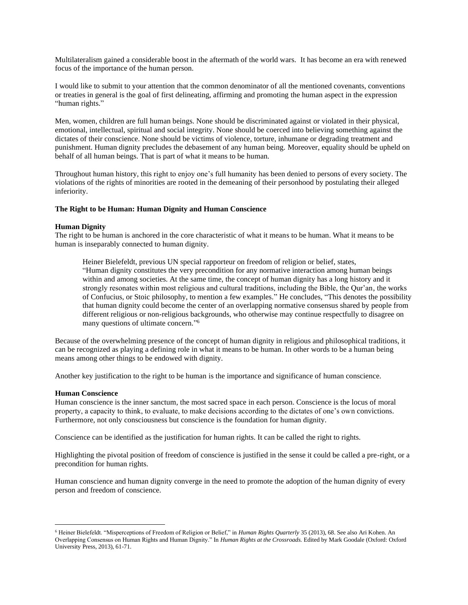Multilateralism gained a considerable boost in the aftermath of the world wars. It has become an era with renewed focus of the importance of the human person.

I would like to submit to your attention that the common denominator of all the mentioned covenants, conventions or treaties in general is the goal of first delineating, affirming and promoting the human aspect in the expression "human rights."

Men, women, children are full human beings. None should be discriminated against or violated in their physical, emotional, intellectual, spiritual and social integrity. None should be coerced into believing something against the dictates of their conscience. None should be victims of violence, torture, inhumane or degrading treatment and punishment. Human dignity precludes the debasement of any human being. Moreover, equality should be upheld on behalf of all human beings. That is part of what it means to be human.

Throughout human history, this right to enjoy one's full humanity has been denied to persons of every society. The violations of the rights of minorities are rooted in the demeaning of their personhood by postulating their alleged inferiority.

## **The Right to be Human: Human Dignity and Human Conscience**

## **Human Dignity**

The right to be human is anchored in the core characteristic of what it means to be human. What it means to be human is inseparably connected to human dignity.

Heiner Bielefeldt, previous UN special rapporteur on freedom of religion or belief, states, "Human dignity constitutes the very precondition for any normative interaction among human beings within and among societies. At the same time, the concept of human dignity has a long history and it strongly resonates within most religious and cultural traditions, including the Bible, the Qur'an, the works of Confucius, or Stoic philosophy, to mention a few examples." He concludes, "This denotes the possibility that human dignity could become the center of an overlapping normative consensus shared by people from different religious or non-religious backgrounds, who otherwise may continue respectfully to disagree on many questions of ultimate concern." 6

Because of the overwhelming presence of the concept of human dignity in religious and philosophical traditions, it can be recognized as playing a defining role in what it means to be human. In other words to be a human being means among other things to be endowed with dignity.

Another key justification to the right to be human is the importance and significance of human conscience.

#### **Human Conscience**

Human conscience is the inner sanctum, the most sacred space in each person. Conscience is the locus of moral property, a capacity to think, to evaluate, to make decisions according to the dictates of one's own convictions. Furthermore, not only consciousness but conscience is the foundation for human dignity.

Conscience can be identified as the justification for human rights. It can be called the right to rights.

Highlighting the pivotal position of freedom of conscience is justified in the sense it could be called a pre-right, or a precondition for human rights.

Human conscience and human dignity converge in the need to promote the adoption of the human dignity of every person and freedom of conscience.

<sup>6</sup> Heiner Bielefeldt. "Misperceptions of Freedom of Religion or Belief," in *Human Rights Quarterly* 35 (2013), 68. See also Ari Kohen. An Overlapping Consensus on Human Rights and Human Dignity." In *Human Rights at the Crossroads.* Edited by Mark Goodale (Oxford: Oxford University Press, 2013), 61-71.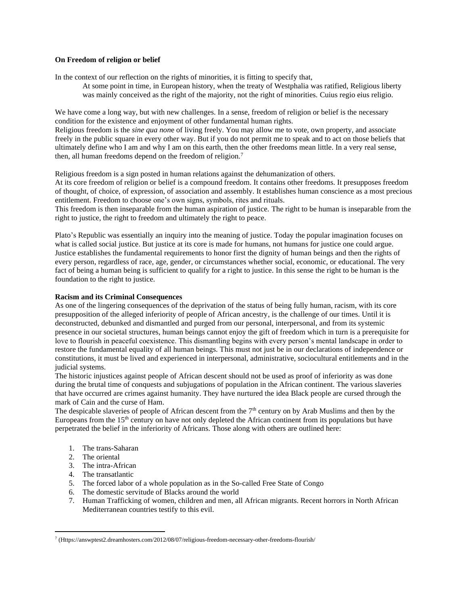# **On Freedom of religion or belief**

In the context of our reflection on the rights of minorities, it is fitting to specify that,

At some point in time, in European history, when the treaty of Westphalia was ratified, Religious liberty was mainly conceived as the right of the majority, not the right of minorities. Cuius regio eius religio.

We have come a long way, but with new challenges. In a sense, freedom of religion or belief is the necessary condition for the existence and enjoyment of other fundamental human rights.

Religious freedom is the *sine qua non*e of living freely. You may allow me to vote, own property, and associate freely in the public square in every other way. But if you do not permit me to speak and to act on those beliefs that ultimately define who I am and why I am on this earth, then the other freedoms mean little. In a very real sense, then, all human freedoms depend on the freedom of religion.<sup>7</sup>

Religious freedom is a sign posted in human relations against the dehumanization of others. At its core freedom of religion or belief is a compound freedom. It contains other freedoms. It presupposes freedom of thought, of choice, of expression, of association and assembly. It establishes human conscience as a most precious entitlement. Freedom to choose one's own signs, symbols, rites and rituals.

This freedom is then inseparable from the human aspiration of justice. The right to be human is inseparable from the right to justice, the right to freedom and ultimately the right to peace.

Plato's Republic was essentially an inquiry into the meaning of justice. Today the popular imagination focuses on what is called social justice. But justice at its core is made for humans, not humans for justice one could argue. Justice establishes the fundamental requirements to honor first the dignity of human beings and then the rights of every person, regardless of race, age, gender, or circumstances whether social, economic, or educational. The very fact of being a human being is sufficient to qualify for a right to justice. In this sense the right to be human is the foundation to the right to justice.

# **Racism and its Criminal Consequences**

As one of the lingering consequences of the deprivation of the status of being fully human, racism, with its core presupposition of the alleged inferiority of people of African ancestry, is the challenge of our times. Until it is deconstructed, debunked and dismantled and purged from our personal, interpersonal, and from its systemic presence in our societal structures, human beings cannot enjoy the gift of freedom which in turn is a prerequisite for love to flourish in peaceful coexistence. This dismantling begins with every person's mental landscape in order to restore the fundamental equality of all human beings. This must not just be in our declarations of independence or constitutions, it must be lived and experienced in interpersonal, administrative, sociocultural entitlements and in the judicial systems.

The historic injustices against people of African descent should not be used as proof of inferiority as was done during the brutal time of conquests and subjugations of population in the African continent. The various slaveries that have occurred are crimes against humanity. They have nurtured the idea Black people are cursed through the mark of Cain and the curse of Ham.

The despicable slaveries of people of African descent from the  $7<sup>th</sup>$  century on by Arab Muslims and then by the Europeans from the 15th century on have not only depleted the African continent from its populations but have perpetrated the belief in the inferiority of Africans. Those along with others are outlined here:

- 1. The trans-Saharan
- 2. The oriental
- 3. The intra-African
- 4. The transatlantic
- 5. The forced labor of a whole population as in the So-called Free State of Congo
- 6. The domestic servitude of Blacks around the world
- 7. Human Trafficking of women, children and men, all African migrants. Recent horrors in North African Mediterranean countries testify to this evil.

<sup>7</sup> (Https://answptest2.dreamhosters.com/2012/08/07/religious-freedom-necessary-other-freedoms-flourish/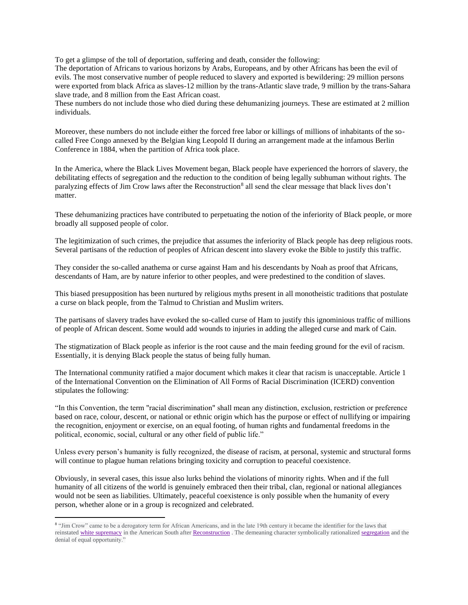To get a glimpse of the toll of deportation, suffering and death, consider the following:

The deportation of Africans to various horizons by Arabs, Europeans, and by other Africans has been the evil of evils. The most conservative number of people reduced to slavery and exported is bewildering: 29 million persons were exported from black Africa as slaves-12 million by the trans-Atlantic slave trade, 9 million by the trans-Sahara slave trade, and 8 million from the East African coast.

These numbers do not include those who died during these dehumanizing journeys. These are estimated at 2 million individuals.

Moreover, these numbers do not include either the forced free labor or killings of millions of inhabitants of the socalled Free Congo annexed by the Belgian king Leopold II during an arrangement made at the infamous Berlin Conference in 1884, when the partition of Africa took place.

In the America, where the Black Lives Movement began, Black people have experienced the horrors of slavery, the debilitating effects of segregation and the reduction to the condition of being legally subhuman without rights. The paralyzing effects of Jim Crow laws after the Reconstruction<sup>8</sup> all send the clear message that black lives don't matter.

These dehumanizing practices have contributed to perpetuating the notion of the inferiority of Black people, or more broadly all supposed people of color.

The legitimization of such crimes, the prejudice that assumes the inferiority of Black people has deep religious roots. Several partisans of the reduction of peoples of African descent into slavery evoke the Bible to justify this traffic.

They consider the so-called anathema or curse against Ham and his descendants by Noah as proof that Africans, descendants of Ham, are by nature inferior to other peoples, and were predestined to the condition of slaves.

This biased presupposition has been nurtured by religious myths present in all monotheistic traditions that postulate a curse on black people, from the Talmud to Christian and Muslim writers.

The partisans of slavery trades have evoked the so-called curse of Ham to justify this ignominious traffic of millions of people of African descent. Some would add wounds to injuries in adding the alleged curse and mark of Cain.

The stigmatization of Black people as inferior is the root cause and the main feeding ground for the evil of racism. Essentially, it is denying Black people the status of being fully human.

The International community ratified a major document which makes it clear that racism is unacceptable. Article 1 of the International Convention on the Elimination of All Forms of Racial Discrimination (ICERD) convention stipulates the following:

"In this Convention, the term "racial discrimination" shall mean any distinction, exclusion, restriction or preference based on race, colour, descent, or national or ethnic origin which has the purpose or effect of nullifying or impairing the recognition, enjoyment or exercise, on an equal footing, of human rights and fundamental freedoms in the political, economic, social, cultural or any other field of public life."

Unless every person's humanity is fully recognized, the disease of racism, at personal, systemic and structural forms will continue to plague human relations bringing toxicity and corruption to peaceful coexistence.

Obviously, in several cases, this issue also lurks behind the violations of minority rights. When and if the full humanity of all citizens of the world is genuinely embraced then their tribal, clan, regional or national allegiances would not be seen as liabilities. Ultimately, peaceful coexistence is only possible when the humanity of every person, whether alone or in a group is recognized and celebrated.

<sup>&</sup>lt;sup>8</sup> "Jim Crow" came to be a derogatory term for African Americans, and in the late 19th century it became the identifier for the laws that reinstated [white supremacy](https://www.britannica.com/topic/white-supremacy) in the American South after [Reconstruction](https://www.britannica.com/event/Reconstruction-United-States-history) . The demeaning character symbolically rationalize[d segregation](https://www.britannica.com/topic/racial-segregation) and the denial of equal opportunity."